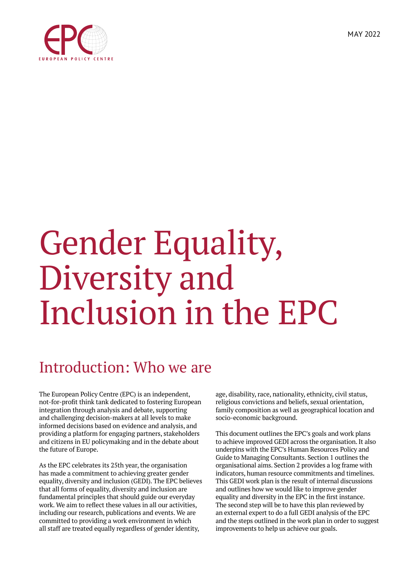

# Gender Equality,

# Diversity and Inclusion in the EPC

### Introduction: Who we are

The European Policy Centre (EPC) is an independent, not-for-profit think tank dedicated to fostering European integration through analysis and debate, supporting and challenging decision-makers at all levels to make informed decisions based on evidence and analysis, and providing a platform for engaging partners, stakeholders and citizens in EU policymaking and in the debate about the future of Europe.

As the EPC celebrates its 25th year, the organisation has made a commitment to achieving greater gender equality, diversity and inclusion (GEDI). The EPC believes that all forms of equality, diversity and inclusion are fundamental principles that should guide our everyday work. We aim to reflect these values in all our activities, including our research, publications and events. We are committed to providing a work environment in which all staff are treated equally regardless of gender identity,

age, disability, race, nationality, ethnicity, civil status, religious convictions and beliefs, sexual orientation, family composition as well as geographical location and socio-economic background.

This document outlines the EPC's goals and work plans to achieve improved GEDI across the organisation. It also underpins with the EPC's Human Resources Policy and Guide to Managing Consultants. Section 1 outlines the organisational aims. Section 2 provides a log frame with indicators, human resource commitments and timelines. This GEDI work plan is the result of internal discussions and outlines how we would like to improve gender equality and diversity in the EPC in the first instance. The second step will be to have this plan reviewed by an external expert to do a full GEDI analysis of the EPC and the steps outlined in the work plan in order to suggest improvements to help us achieve our goals.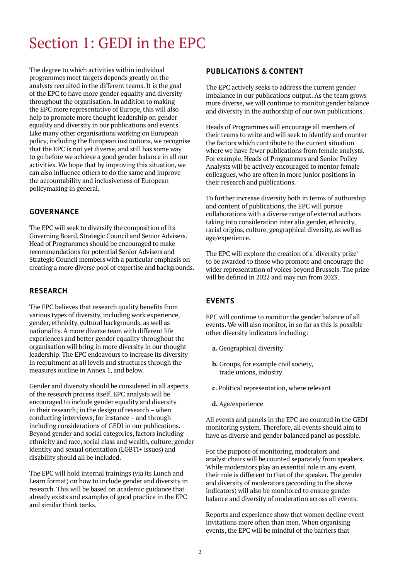## Section 1: GEDI in the EPC

The degree to which activities within individual programmes meet targets depends greatly on the analysts recruited in the different teams. It is the goal of the EPC to have more gender equality and diversity throughout the organisation. In addition to making the EPC more representative of Europe, this will also help to promote more thought leadership on gender equality and diversity in our publications and events. Like many other organisations working on European policy, including the European institutions, we recognise that the EPC is not yet diverse, and still has some way to go before we achieve a good gender balance in all our activities. We hope that by improving this situation, we can also influence others to do the same and improve the accountability and inclusiveness of European policymaking in general.

#### **GOVERNANCE**

The EPC will seek to diversify the composition of its Governing Board, Strategic Council and Senior Advisers. Head of Programmes should be encouraged to make recommendations for potential Senior Advisers and Strategic Council members with a particular emphasis on creating a more diverse pool of expertise and backgrounds.

#### **RESEARCH**

The EPC believes that research quality benefits from various types of diversity, including work experience, gender, ethnicity, cultural backgrounds, as well as nationality. A more diverse team with different life experiences and better gender equality throughout the organisation will bring in more diversity in our thought leadership. The EPC endeavours to increase its diversity in recruitment at all levels and structures through the measures outline in Annex 1, and below.

Gender and diversity should be considered in all aspects of the research process itself. EPC analysts will be encouraged to include gender equality and diversity in their research; in the design of research – when conducting interviews, for instance – and through including considerations of GEDI in our publications. Beyond gender and social categories, factors including ethnicity and race, social class and wealth, culture, gender identity and sexual orientation (LGBTI+ issues) and disability should all be included.

The EPC will hold internal trainings (via its Lunch and Learn format) on how to include gender and diversity in research. This will be based on academic guidance that already exists and examples of good practice in the EPC and similar think tanks.

#### **PUBLICATIONS & CONTENT**

The EPC actively seeks to address the current gender imbalance in our publications output. As the team grows more diverse, we will continue to monitor gender balance and diversity in the authorship of our own publications.

Heads of Programmes will encourage all members of their teams to write and will seek to identify and counter the factors which contribute to the current situation where we have fewer publications from female analysts. For example, Heads of Programmes and Senior Policy Analysts will be actively encouraged to mentor female colleagues, who are often in more junior positions in their research and publications.

To further increase diversity both in terms of authorship and content of publications, the EPC will pursue collaborations with a diverse range of external authors taking into consideration inter alia gender, ethnicity, racial origins, culture, geographical diversity, as well as age/experience.

The EPC will explore the creation of a 'diversity prize' to be awarded to those who promote and encourage the wider representation of voices beyond Brussels. The prize will be defined in 2022 and may run from 2023.

#### **EVENTS**

EPC will continue to monitor the gender balance of all events. We will also monitor, in so far as this is possible other diversity indicators including:

- **a.** Geographical diversity
- **b.** Groups, for example civil society, trade unions, industry
- **c.** Political representation, where relevant
- **d.** Age/experience

All events and panels in the EPC are counted in the GEDI monitoring system. Therefore, all events should aim to have as diverse and gender balanced panel as possible.

For the purpose of monitoring, moderators and analyst chairs will be counted separately from speakers. While moderators play an essential role in any event, their role is different to that of the speaker. The gender and diversity of moderators (according to the above indicators) will also be monitored to ensure gender balance and diversity of moderation across all events.

Reports and experience show that women decline event invitations more often than men. When organising events, the EPC will be mindful of the barriers that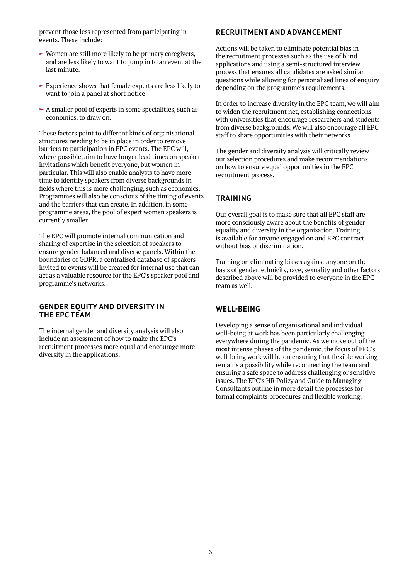prevent those less represented from participating in events. These include:

- $\blacktriangleright$  Women are still more likely to be primary caregivers, and are less likely to want to jump in to an event at the last minute.
- $\blacktriangleright$  Experience shows that female experts are less likely to want to join a panel at short notice
- $\blacktriangleright$  A smaller pool of experts in some specialities, such as economics, to draw on.

These factors point to different kinds of organisational structures needing to be in place in order to remove barriers to participation in EPC events. The EPC will, where possible, aim to have longer lead times on speaker invitations which benefit everyone, but women in particular. This will also enable analysts to have more time to identify speakers from diverse backgrounds in fields where this is more challenging, such as economics. Programmes will also be conscious of the timing of events and the barriers that can create. In addition, in some programme areas, the pool of expert women speakers is currently smaller.

The EPC will promote internal communication and sharing of expertise in the selection of speakers to ensure gender-balanced and diverse panels. Within the boundaries of GDPR, a centralised database of speakers invited to events will be created for internal use that can act as a valuable resource for the EPC's speaker pool and programme's networks.

#### **GENDER EQUITY AND DIVERSITY IN THE EPC TEAM**

The internal gender and diversity analysis will also include an assessment of how to make the EPC's recruitment processes more equal and encourage more diversity in the applications.

#### **RECRUITMENT AND ADVANCEMENT**

Actions will be taken to eliminate potential bias in the recruitment processes such as the use of blind applications and using a semi-structured interview process that ensures all candidates are asked similar questions while allowing for personalised lines of enquiry depending on the programme's requirements.

In order to increase diversity in the EPC team, we will aim to widen the recruitment net, establishing connections with universities that encourage researchers and students from diverse backgrounds. We will also encourage all EPC staff to share opportunities with their networks.

The gender and diversity analysis will critically review our selection procedures and make recommendations on how to ensure equal opportunities in the EPC recruitment process.

#### **TRAINING**

Our overall goal is to make sure that all EPC staff are more consciously aware about the benefits of gender equality and diversity in the organisation. Training is available for anyone engaged on and EPC contract without bias or discrimination.

Training on eliminating biases against anyone on the basis of gender, ethnicity, race, sexuality and other factors described above will be provided to everyone in the EPC team as well.

#### **WELL-BEING**

Developing a sense of organisational and individual well-being at work has been particularly challenging everywhere during the pandemic. As we move out of the most intense phases of the pandemic, the focus of EPC's well-being work will be on ensuring that flexible working remains a possibility while reconnecting the team and ensuring a safe space to address challenging or sensitive issues. The EPC's HR Policy and Guide to Managing Consultants outline in more detail the processes for formal complaints procedures and flexible working.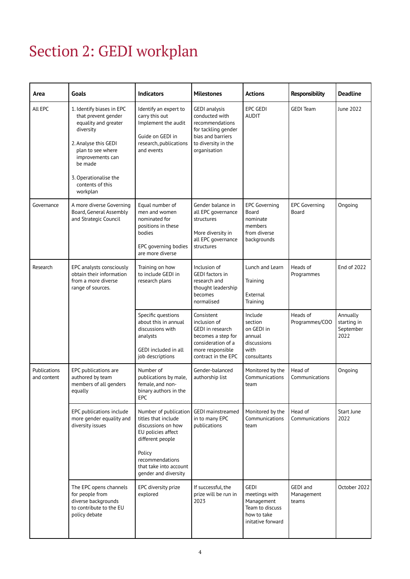# Section 2: GEDI workplan

| Area                        | Goals                                                                                                                                                                                                                      | <b>Indicators</b>                                                                                                                | <b>Milestones</b>                                                                                                                            | <b>Actions</b>                                                                                    | <b>Responsibility</b>           | <b>Deadline</b>                              |
|-----------------------------|----------------------------------------------------------------------------------------------------------------------------------------------------------------------------------------------------------------------------|----------------------------------------------------------------------------------------------------------------------------------|----------------------------------------------------------------------------------------------------------------------------------------------|---------------------------------------------------------------------------------------------------|---------------------------------|----------------------------------------------|
| All EPC                     | 1. Identify biases in EPC<br>that prevent gender<br>equality and greater<br>diversity<br>2. Analyse this GEDI<br>plan to see where<br>improvements can<br>be made<br>3. Operationalise the<br>contents of this<br>workplan | Identify an expert to<br>carry this out<br>Implement the audit<br>Guide on GEDI in<br>research, publications<br>and events       | <b>GEDI</b> analysis<br>conducted with<br>recommendations<br>for tackling gender<br>bias and barriers<br>to diversity in the<br>organisation | <b>EPC GEDI</b><br><b>AUDIT</b>                                                                   | <b>GEDI Team</b>                | June 2022                                    |
| Governance                  | A more diverse Governing<br>Board, General Assembly<br>and Strategic Council                                                                                                                                               | Equal number of<br>men and women<br>nominated for<br>positions in these<br>bodies<br>EPC governing bodies<br>are more diverse    | Gender balance in<br>all EPC governance<br>structures<br>More diversity in<br>all EPC governance<br>structures                               | <b>EPC Governing</b><br>Board<br>nominate<br>members<br>from diverse<br>backgrounds               | <b>EPC Governing</b><br>Board   | Ongoing                                      |
| Research                    | EPC analysts consciously<br>obtain their information<br>from a more diverse<br>range of sources.                                                                                                                           | Training on how<br>to include GEDI in<br>research plans                                                                          | Inclusion of<br>GEDI factors in<br>research and<br>thought leadership<br>becomes<br>normalised                                               | Lunch and Learn<br>Training<br>External<br>Training                                               | Heads of<br>Programmes          | End of 2022                                  |
|                             |                                                                                                                                                                                                                            | Specific questions<br>about this in annual<br>discussions with<br>analysts<br>GEDI included in all<br>job descriptions           | Consistent<br>inclusion of<br>GEDI in research<br>becomes a step for<br>consideration of a<br>more responsible<br>contract in the EPC        | Include<br>section<br>on GEDI in<br>annual<br>discussions<br>with<br>consultants                  | Heads of<br>Programmes/COO      | Annually<br>starting in<br>September<br>2022 |
| Publications<br>and content | EPC publications are<br>authored by team<br>members of all genders<br>equally                                                                                                                                              | Number of<br>publications by male,<br>female, and non-<br>binary authors in the<br>EPC                                           | Gender-balanced<br>authorship list                                                                                                           | Monitored by the<br>Communications<br>team                                                        | Head of<br>Communications       | Ongoing                                      |
|                             | EPC publications include<br>more gender equality and<br>diversity issues                                                                                                                                                   | Number of publication   GEDI mainstreamed<br>titles that include<br>discussions on how<br>EU policies affect<br>different people | in to many EPC<br>publications                                                                                                               | Monitored by the<br>Communications<br>team                                                        | Head of<br>Communications       | Start June<br>2022                           |
|                             |                                                                                                                                                                                                                            | Policy<br>recommendations<br>that take into account<br>gender and diversity                                                      |                                                                                                                                              |                                                                                                   |                                 |                                              |
|                             | The EPC opens channels<br>for people from<br>diverse backgrounds<br>to contribute to the EU<br>policy debate                                                                                                               | EPC diversity prize<br>explored                                                                                                  | If successful, the<br>prize will be run in<br>2023                                                                                           | <b>GEDI</b><br>meetings with<br>Management<br>Team to discuss<br>how to take<br>initative forward | GEDI and<br>Management<br>teams | October 2022                                 |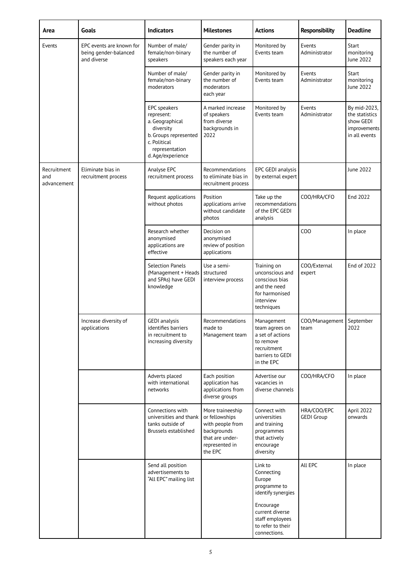| Area                              | Goals                                                            | <b>Indicators</b>                                                                                                                          | <b>Milestones</b>                                                                                                     | <b>Actions</b>                                                                                                 | <b>Responsibility</b>            | <b>Deadline</b>                                                              |
|-----------------------------------|------------------------------------------------------------------|--------------------------------------------------------------------------------------------------------------------------------------------|-----------------------------------------------------------------------------------------------------------------------|----------------------------------------------------------------------------------------------------------------|----------------------------------|------------------------------------------------------------------------------|
| Events                            | EPC events are known for<br>being gender-balanced<br>and diverse | Number of male/<br>female/non-binary<br>speakers                                                                                           | Gender parity in<br>the number of<br>speakers each year                                                               | Monitored by<br>Events team                                                                                    | Events<br>Administrator          | Start<br>monitoring<br>June 2022                                             |
|                                   |                                                                  | Number of male/<br>female/non-binary<br>moderators                                                                                         | Gender parity in<br>the number of<br>moderators<br>each year                                                          | Monitored by<br>Events team                                                                                    | Events<br>Administrator          | Start<br>monitoring<br>June 2022                                             |
|                                   |                                                                  | EPC speakers<br>represent:<br>a. Geographical<br>diversity<br>b. Groups represented<br>c. Political<br>representation<br>d. Age/experience | A marked increase<br>of speakers<br>from diverse<br>backgrounds in<br>2022                                            | Monitored by<br>Events team                                                                                    | Events<br>Administrator          | By mid-2023,<br>the statistics<br>show GEDI<br>improvements<br>in all events |
| Recruitment<br>and<br>advancement | Eliminate bias in<br>recruitment process                         | Analyse EPC<br>recruitment process                                                                                                         | Recommendations<br>to eliminate bias in<br>recruitment process                                                        | EPC GEDI analysis<br>by external expert                                                                        |                                  | June 2022                                                                    |
|                                   |                                                                  | Request applications<br>without photos                                                                                                     | Position<br>applications arrive<br>without candidate<br>photos                                                        | Take up the<br>recommendations<br>of the EPC GEDI<br>analysis                                                  | COO/HRA/CFO                      | End 2022                                                                     |
|                                   |                                                                  | Research whether<br>anonymised<br>applications are<br>effective                                                                            | Decision on<br>anonymised<br>review of position<br>applications                                                       |                                                                                                                | COO                              | In place                                                                     |
|                                   |                                                                  | <b>Selection Panels</b><br>(Management + Heads<br>and SPAs) have GEDI<br>knowledge                                                         | Use a semi-<br>structured<br>interview process                                                                        | Training on<br>unconscious and<br>conscious bias<br>and the need<br>for harmonised<br>interview<br>techniques  | COO/External<br>expert           | End of 2022                                                                  |
|                                   | Increase diversity of<br>applications                            | <b>GEDI</b> analysis<br>identifies barriers<br>in recruitment to<br>increasing diversity                                                   | Recommendations<br>made to<br>Management team                                                                         | Management<br>team agrees on<br>a set of actions<br>to remove<br>recruitment<br>barriers to GEDI<br>in the EPC | COO/Management<br>team           | September<br>2022                                                            |
|                                   |                                                                  | Adverts placed<br>with international<br>networks                                                                                           | Each position<br>application has<br>applications from<br>diverse groups                                               | Advertise our<br>vacancies in<br>diverse channels                                                              | COO/HRA/CFO                      | In place                                                                     |
|                                   |                                                                  | Connections with<br>universities and thank<br>tanks outside of<br>Brussels established                                                     | More traineeship<br>or fellowships<br>with people from<br>backgrounds<br>that are under-<br>represented in<br>the EPC | Connect with<br>universities<br>and training<br>programmes<br>that actively<br>encourage<br>diversity          | HRA/COO/EPC<br><b>GEDI Group</b> | April 2022<br>onwards                                                        |
|                                   |                                                                  | Send all position<br>advertisements to<br>"All EPC" mailing list                                                                           |                                                                                                                       | Link to<br>Connecting<br>Europe<br>programme to<br>identify synergies                                          | All EPC                          | In place                                                                     |
|                                   |                                                                  |                                                                                                                                            |                                                                                                                       | Encourage<br>current diverse<br>staff employees<br>to refer to their<br>connections.                           |                                  |                                                                              |